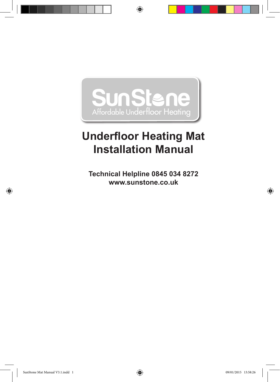

◈

# **Underfloor Heating Mat Installation Manual**

**Technical Helpline 0845 034 8272 www.sunstone.co.uk**

◈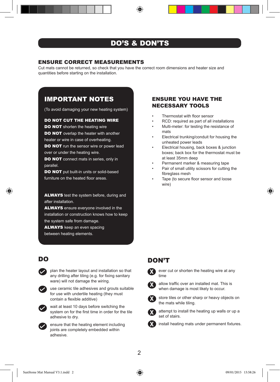### DO'S & DON'TS

#### ENSURE CORRECT MEASUREMENTS

Cut mats cannot be returned, so check that you have the correct room dimensions and heater size and quantities before starting on the installation.

### IMPORTANT NOTES

(To avoid damaging your new heating system)

#### DO NOT CUT THE HEATING WIRE

DO NOT shorten the heating wire

**DO NOT** overlap the heater with another heater or wire in case of overheating.

DO NOT run the sensor wire or power lead over or under the heating wire.

DO NOT connect mats in series, only in parallel.

DO NOT put built-in units or solid-based furniture on the heated floor areas.

**ALWAYS** test the system before, during and after installation.

**ALWAYS** ensure everyone involved in the installation or construction knows how to keep the system safe from damage.

**ALWAYS** keep an even spacing between heating elements.



plan the heater layout and installation so that any drilling after tiling (e.g. for fixing sanitary ware) will not damage the wiring.



use ceramic tile adhesives and grouts suitable for use with undertile heating (they must contain a flexible additive)



wait at least 10 days before switching the system on for the first time in order for the tile adhesive to dry.



ensure that the heating element including joints are completely embedded within adhesive.

### ENSURE YOU HAVE THE NECESSARY TOOLS

- Thermostat with floor sensor
- RCD: required as part of all installations
- Multi-meter: for testing the resistance of mats
- Electrical trunking/conduit for housing the unheated power leads
- Electrical housing, back boxes & junction boxes; back box for the thermostat must be at least 35mm deep
- Permanent marker & measuring tape
- Pair of small utility scissors for cutting the fibreglass mesh
- Tape (to secure floor sensor and loose wire)



ever cut or shorten the heating wire at any time



**X**

allow traffic over an installed mat. This is when damage is most likely to occur.



**X**

**X**

store tiles or other sharp or heavy objects on the mats while tiling.

attempt to install the heating up walls or up a set of stairs.

install heating mats under permanent fixtures.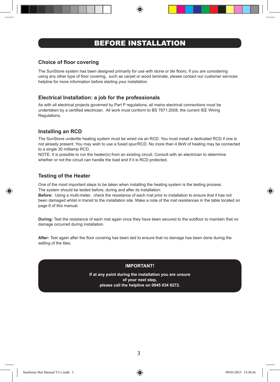### BEFORE INSTALLATION

#### **Choice of floor covering**

The SunStone system has been designed primarily for use with stone or tile floors. If you are considering using any other type of floor covering, such as carpet or wood laminate, please contact our customer services helpline for more information before starting your installation.

#### **Electrical Installation: a job for the professionals**

As with all electrical projects governed by Part P regulations, all mains electrical connections must be undertaken by a certified electrician. All work must conform to BS 7671:2008, the current IEE Wiring Regulations.

#### **Installing an RCD**

The SunStone undertile heating system must be wired via an RCD. You must install a dedicated RCD if one is not already present. You may wish to use a fused spur/RCD. No more than 4.8kW of heating may be connected to a single 30 milliamp RCD.

NOTE: It is possible to run the heater(s) from an existing circuit. Consult with an electrician to determine whether or not the circuit can handle the load and if it is RCD protected.

#### **Testing of the Heater**

One of the most important steps to be taken when installing the heating system is the testing process. The system should be tested before, during and after its installation:

**Before:** Using a multi-meter, check the resistance of each mat prior to installation to ensure that it has not been damaged whilst in transit to the installation site. Make a note of the mat resistances in the table located on page 6 of this manual.

**During:** Test the resistance of each mat again once they have been secured to the subfloor to maintain that no damage occurred during installation.

**After:** Test again after the floor covering has been laid to ensure that no damage has been done during the setting of the tiles.

#### **IMPORTANT!**

**If at any point during the installation you are unsure of your next step, please call the helpline on 0845 034 8272.**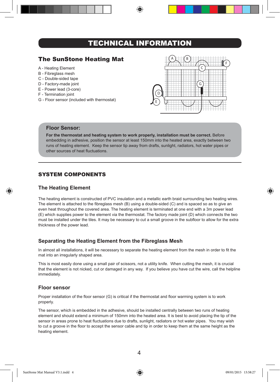### TECHNICAL INFORMATION

### The SunStone Heating Mat

- A Heating Element
- B Fibreglass mesh
- C Double-sided tape
- D Factory-made joint
- E Power lead (3-core)
- F Termination joint
- G Floor sensor (included with thermostat)



#### **Floor Sensor:**

**For the thermostat and heating system to work properly, installation must be correct.** Before embedding in adhesive, position the sensor at least 150mm into the heated area, exactly between two runs of heating element. Keep the sensor tip away from drafts, sunlight, radiators, hot water pipes or other sources of heat fluctuations.

#### SYSTEM COMPONENTS

#### **The Heating Element**

The heating element is constructed of PVC insulation and a metallic earth braid surrounding two heating wires. The element is attached to the fibreglass mesh (B) using a double-sided (C) and is spaced so as to give an even heat throughout the covered area. The heating element is terminated at one end with a 3m power lead (E) which supplies power to the element via the thermostat. The factory made joint (D) which connects the two must be installed under the tiles. It may be necessary to cut a small groove in the subfloor to allow for the extra thickness of the power lead.

#### **Separating the Heating Element from the Fibreglass Mesh**

In almost all installations, it will be necessary to separate the heating element from the mesh in order to fit the mat into an irregularly shaped area.

This is most easily done using a small pair of scissors, not a utility knife. When cutting the mesh, it is crucial that the element is not nicked, cut or damaged in any way. If you believe you have cut the wire, call the helpline immediately.

#### **Floor sensor**

Proper installation of the floor sensor (G) is critical if the thermostat and floor warming system is to work properly.

The sensor, which is embedded in the adhesive, should be installed centrally between two runs of heating element and should extend a minimum of 150mm into the heated area. It is best to avoid placing the tip of the sensor in areas prone to heat fluctuations due to drafts, sunlight, radiators or hot water pipes. You may wish to cut a groove in the floor to accept the sensor cable and tip in order to keep them at the same height as the heating element.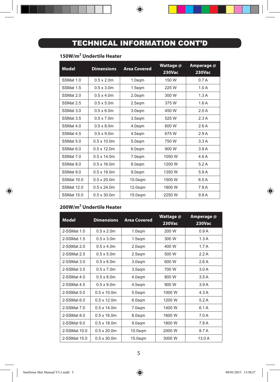## TECHNICAL INFORMATION CONT'D

 $\bigoplus$ 

#### **150W/m2 Undertile Heater**

| Model             | <b>Dimensions</b>   | <b>Area Covered</b> | Wattage @<br><b>230Vac</b> | Amperage @<br><b>230Vac</b> |
|-------------------|---------------------|---------------------|----------------------------|-----------------------------|
| SSMat 1.0         | $0.5 \times 2.0$ m  | $1.0$ sqm           | 150 W                      | 0.7A                        |
| SSMat 1.5         | $0.5 \times 3.0$ m  | 1.5 <sub>sgm</sub>  | 225 W                      | 1.0A                        |
| SSMat 2.0         | $0.5 \times 4.0$ m  | 2.0sqm              | 300 W                      | 1.3A                        |
| SSMat 2.5         | $0.5 \times 5.0$ m  | $2.5$ sqm           | 375 W                      | 1.6A                        |
| SSMat 3.0         | $0.5 \times 6.0$ m  | 3.0sqm              | 450 W                      | 2.0A                        |
| SSMat 3.5         | $0.5 \times 7.0$ m  | 3.5 <sub>sgm</sub>  | 525 W                      | 2.3A                        |
| SSMat 4.0         | $0.5 \times 8.0$ m  | 4.0sqm              | 600 W                      | 2.6A                        |
| SSMat 4.5         | $0.5 \times 9.0$ m  | 4.5sgm              | 675W                       | 2.9A                        |
| SSMat 5.0         | $0.5 \times 10.0$ m | 5.0sqm              | 750 W                      | 3.3A                        |
| SSMat 6.0         | $0.5 \times 12.0$ m | 6.0sqm              | 900 W                      | 3.9A                        |
| SSMat 7.0         | $0.5 \times 14.0$ m | 7.0sgm              | 1050 W                     | 4.6A                        |
| SSMat 8.0         | $0.5 \times 16.0$ m | 8.0sqm              | 1200 W                     | 5.2A                        |
| SSMat 9.0         | $0.5 \times 18.0$ m | 9.0sgm              | 1350 W                     | 5.9A                        |
| <b>SSMat 10.0</b> | $0.5 \times 20.0$ m | $10.0$ sqm          | 1500 W                     | 6.5A                        |
| SSMat 12.0        | $0.5 \times 24.0$ m | $12.0$ sqm          | 1800 W                     | 7.8 A                       |
| <b>SSMat 15.0</b> | $0.5 \times 30.0$ m | $15.0$ sqm          | 2250 W                     | 9.8 A                       |

#### **200W/m2 Undertile Heater**

| Model         | <b>Dimensions</b>   | <b>Area Covered</b> | Wattage @<br><b>230Vac</b> | Amperage @<br><b>230Vac</b> |
|---------------|---------------------|---------------------|----------------------------|-----------------------------|
| $2-SSMat 10$  | $0.5 \times 2.0$ m  | $1.0$ sqm           | 200 W                      | 0.9A                        |
| 2-SSMat 1.5   | $0.5 \times 3.0$ m  | $1.5$ sqm           | 300 W                      | 1.3A                        |
| 2-SSMat 2.0   | $0.5 \times 4.0$ m  | $2.0$ sqm           | 400 W                      | 1.7A                        |
| 2-SSMat 2.5   | $0.5 \times 5.0$ m  | $2.5$ sqm           | 500 W                      | 2.2A                        |
| 2-SSMat 3.0   | $0.5 \times 6.0$ m  | 3.0 <sub>sgm</sub>  | 600 W                      | 2.6A                        |
| 2-SSMat 3.5   | $0.5 \times 7.0$ m  | 3.5 <sub>sgm</sub>  | 700 W                      | 3.0A                        |
| 2-SSMat 4.0   | $0.5 \times 8.0$ m  | 4.0sqm              | 800 W                      | 3.5A                        |
| 2-SSMat 4.5   | $0.5 \times 9.0$ m  | 4.5sqm              | 900 W                      | 3.9A                        |
| $2-SSMat 5.0$ | $0.5 \times 10.0$ m | 5.0sqm              | 1000 W                     | 4.3A                        |
| $2-SSMat 6.0$ | $0.5 \times 12.0$ m | 6.0sqm              | 1200 W                     | 5.2A                        |
| 2-SSMat 7.0   | $0.5 \times 14.0$ m | 7.0sqm              | 1400 W                     | 6.1 A                       |
| 2-SSMat 8.0   | $0.5 \times 16.0$ m | 8.0sqm              | 1600 W                     | 7.0A                        |
| 2-SSMat 9.0   | $0.5 \times 18.0$ m | 9.0sqm              | 1800 W                     | 7.8 A                       |
| 2-SSMat 10.0  | $0.5 \times 20.0$ m | $10.0$ sqm          | 2000 W                     | 8.7 A                       |
| 2-SSMat 15.0  | $0.5 \times 30.0$ m | $15.0$ sqm          | 3000 W                     | 13.0A                       |

5

◈

⊕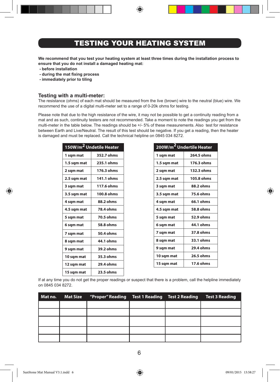### TESTING YOUR HEATING SYSTEM

**We recommend that you test your heating system at least three times during the installation process to ensure that you do not install a damaged heating mat:**

- **before installation**
- **during the mat fixing process**
- **immediately prior to tiling**

#### **Testing with a multi-meter:**

The resistance (ohms) of each mat should be measured from the live (brown) wire to the neutral (blue) wire. We recommend the use of a digital multi-meter set to a range of 0-20k ohms for testing.

Please note that due to the high resistance of the wire, it may not be possible to get a continuity reading from a mat and as such, continuity testers are not recommended. Take a moment to note the readings you get from the multi-meter in the table below. The readings should be +/- 5% of these measurements. Also test for resistance between Earth and Live/Neutral. The result of this test should be negative. If you get a reading, then the heater is damaged and must be replaced. Call the technical helpline on 0845 034 8272.

| 150W/m <sup>2</sup> Undetile Heater |                  |  |
|-------------------------------------|------------------|--|
| 1 sqm mat                           | 352.7 ohms       |  |
| 1.5 sqm mat                         | 235.1 ohms       |  |
| 2 sqm mat                           | 176.3 ohms       |  |
| 2.5 sqm mat                         | 141.1 ohms       |  |
| 3 sqm mat                           | 117.6 ohms       |  |
| 3.5 sqm mat                         | 100.8 ohms       |  |
| 4 sqm mat                           | 88.2 ohms        |  |
| 4.5 sqm mat                         | <b>78.4 ohms</b> |  |
| 5 sqm mat                           | 70.5 ohms        |  |
| 6 sqm mat                           | 58.8 ohms        |  |
| 7 sqm mat                           | 50.4 ohms        |  |
| 8 sqm mat                           | 44.1 ohms        |  |
| 9 sqm mat                           | 39.2 ohms        |  |
| 10 sqm mat                          | 35.3 ohms        |  |
| 12 sqm mat                          | 29.4 ohms        |  |
| 15 sqm mat                          | 23.5 ohms        |  |

| 200W/m <sup>2</sup> Undertile Heater |            |  |  |
|--------------------------------------|------------|--|--|
| 1 sqm mat                            | 264.5 ohms |  |  |
| 1.5 sqm mat                          | 176.3 ohms |  |  |
| 2 sqm mat                            | 132.3 ohms |  |  |
| 2.5 sqm mat                          | 105.8 ohms |  |  |
| 3 sqm mat                            | 88.2 ohms  |  |  |
| 3.5 sqm mat                          | 75.6 ohms  |  |  |
| 4 sqm mat                            | 66.1 ohms  |  |  |
| 4.5 sqm mat                          | 58.8 ohms  |  |  |
| 5 sqm mat                            | 52.9 ohms  |  |  |
| 6 sqm mat                            | 44.1 ohms  |  |  |
| 7 sqm mat                            | 37.8 ohms  |  |  |
| 8 sqm mat                            | 33.1 ohms  |  |  |
| 9 sqm mat                            | 29.4 ohms  |  |  |
| 10 sqm mat                           | 26.5 ohms  |  |  |
| 15 sqm mat                           | 17.6 ohms  |  |  |

If at any time you do not get the proper readings or suspect that there is a problem, call the helpline immediately on 0845 034 8272.

| Mat no. | Mat Size "Proper" Reading Test 1 Reading Test 2 Reading Test 3 Reading |  |  |
|---------|------------------------------------------------------------------------|--|--|
|         |                                                                        |  |  |
|         |                                                                        |  |  |
|         |                                                                        |  |  |
|         |                                                                        |  |  |
|         |                                                                        |  |  |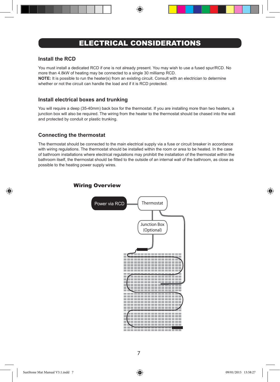### ELECTRICAL CONSIDERATIONS

#### **Install the RCD**

You must install a dedicated RCD if one is not already present. You may wish to use a fused spur/RCD. No more than 4.8kW of heating may be connected to a single 30 milliamp RCD.

**NOTE:** It is possible to run the heater(s) from an existing circuit. Consult with an electrician to determine whether or not the circuit can handle the load and if it is RCD protected.

#### **Install electrical boxes and trunking**

You will require a deep (35-40mm) back box for the thermostat. If you are installing more than two heaters, a junction box will also be required. The wiring from the heater to the thermostat should be chased into the wall and protected by conduit or plastic trunking.

#### **Connecting the thermostat**

The thermostat should be connected to the main electrical supply via a fuse or circuit breaker in accordance with wiring regulations. The thermostat should be installed within the room or area to be heated. In the case of bathroom installations where electrical regulations may prohibit the installation of the thermostat within the bathroom itself, the thermostat should be fitted to the outside of an internal wall of the bathroom, as close as possible to the heating power supply wires.

#### Wiring Overview



◈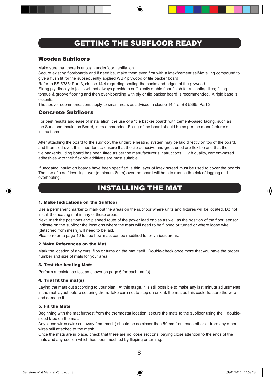### GETTING THE SUBFLOOR READY

#### Wooden Subfloors

Make sure that there is enough underfloor ventilation.

Secure existing floorboards and if need be, make them even first with a latex/cement self-levelling compound to give a flush fit for the subsequently applied WBP plywood or tile backer board.

Refer to BS 5385: Part 3, clause 14.4 regarding sealing the backs and edges of the plywood.

Fixing ply directly to joists will not always provide a sufficiently stable floor finish for accepting tiles; fitting tongue & groove flooring and then over-boarding with ply or tile backer board is recommended. A rigid base is essential.

The above recommendations apply to small areas as advised in clause 14.4 of BS 5385: Part 3.

#### Concrete Subfloors

For best results and ease of installation, the use of a "tile backer board" with cement-based facing, such as the Sunstone Insulation Board, is recommended. Fixing of the board should be as per the manufacturer's instructions.

After attaching the board to the subfloor, the undertile heating system may be laid directly on top of the board, and then tiled over. It is important to ensure that the tile adhesive and grout used are flexible and that the tile backer/building board has been fitted as per the manufacturer's instructions. High quality, cement-based adhesives with their flexible additives are most suitable.

If uncoated insulation boards have been specified, a thin layer of latex screed must be used to cover the boards. The use of a self-levelling layer (minimum 8mm) over the board will help to reduce the risk of lagging and overheating.

### INSTALLING THE MAT

#### 1. Make Indications on the Subfloor

Use a permanent marker to mark out the areas on the subfloor where units and fixtures will be located. Do not install the heating mat in any of these areas.

Next, mark the positions and planned route of the power lead cables as well as the position of the floor sensor. Indicate on the subfloor the locations where the mats will need to be flipped or turned or where loose wire (detached from mesh) will need to be laid.

Please refer to page 10 to see how mats can be modified to for various areas.

#### 2 Make References on the Mat

Mark the location of any cuts, flips or turns on the mat itself. Double-check once more that you have the proper number and size of mats for your area.

#### 3. Test the heating Mats

Perform a resistance test as shown on page 6 for each mat(s).

#### 4. Trial fit the mat(s)

Laying the mats out according to your plan. At this stage, it is still possible to make any last minute adjustments in the mat layout before securing them. Take care not to step on or kink the mat as this could fracture the wire and damage it.

#### 5. Fit the Mats

Beginning with the mat furthest from the thermostat location, secure the mats to the subfloor using the doublesided tape on the mat.

Any loose wires (wire cut away from mesh) should be no closer than 50mm from each other or from any other wires still attached to the mesh.

Once the mats are in place, check that there are no loose sections, paying close attention to the ends of the mats and any section which has been modified by flipping or turning.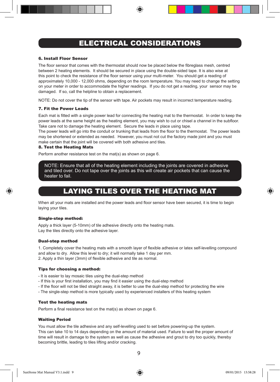### ELECTRICAL CONSIDERATIONS

#### 6. Install Floor Sensor

The floor sensor that comes with the thermostat should now be placed below the fibreglass mesh, centred between 2 heating elements. It should be secured in place using the double-sided tape. It is also wise at this point to check the resistance of the floor sensor using your multi-meter. You should get a reading of approximately 10,000 - 12,000 ohms, depending on the room temperature. You may need to change the setting on your meter in order to accommodate the higher readings. If you do not get a reading, your sensor may be damaged. If so, call the helpline to obtain a replacement.

NOTE: Do not cover the tip of the sensor with tape. Air pockets may result in incorrect temperature reading.

#### 7. Fit the Power Leads

Each mat is fitted with a single power lead for connecting the heating mat to the thermostat. In order to keep the power leads at the same height as the heating element, you may wish to cut or chisel a channel in the subfloor. Take care not to damage the heating element. Secure the leads in place using tape.

The power leads will go into the conduit or trunking that leads from the floor to the thermostat. The power leads may be shortened or extended as needed. However, you must not cut the factory made joint and you must make certain that the joint will be covered with both adhesive and tiles.

#### 8. Test the Heating Mats

Perform another resistance test on the mat(s) as shown on page 6.

NOTE: Ensure that all of the heating element including the joints are covered in adhesive and tiled over. Do not tape over the joints as this will create air pockets that can cause the heater to fail.

### LAYING TILES OVER THE HEATING MAT

When all your mats are installed and the power leads and floor sensor have been secured, it is time to begin laying your tiles.

#### Single-step method:

Apply a thick layer (5-10mm) of tile adhesive directly onto the heating mats. Lay the tiles directly onto the adhesive layer.

#### Dual-step method

1. Completely cover the heating mats with a smooth layer of flexible adhesive or latex self-levelling compound and allow to dry. Allow this level to dry; it will normally take 1 day per mm. 2. Apply a thin layer (3mm) of flexible adhesive and tile as normal.

#### Tips for choosing a method:

- It is easier to lay mosaic tiles using the dual-step method
- If this is your first installation, you may find it easier using the dual-step method
- If the floor will not be tiled straight away, it is better to use the dual-step method for protecting the wire
- The single-step method is more typically used by experienced installers of this heating system

#### Test the heating mats

Perform a final resistance test on the mat(s) as shown on page 6.

#### Waiting Period

You must allow the tile adhesive and any self-levelling used to set before powering-up the system. This can take 10 to 14 days depending on the amount of material used. Failure to wait the proper amount of time will result in damage to the system as well as cause the adhesive and grout to dry too quickly, thereby becoming brittle, leading to tiles lifting and/or cracking.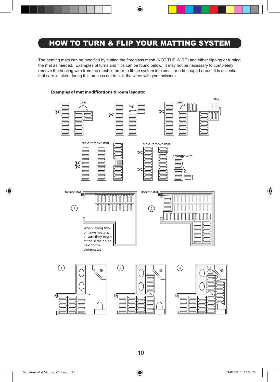### HOW TO TURN & FLIP YOUR MATTING SYSTEM

◈

The heating mats can be modified by cutting the fibreglass mesh (NOT THE WIRE) and either flipping or turning the mat as needed. Examples of turns and flips can be found below. It may not be necessary to completely remove the heating wire from the mesh in order to fit the system into small or odd-shaped areas. It is essential that care is taken during this process not to nick the wires with your scissors.



#### **Examples of mat modifications & room layouts:**

⊕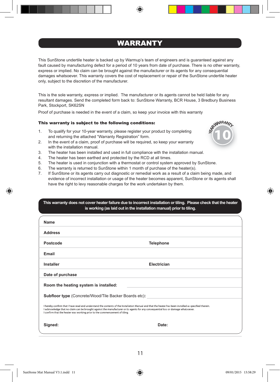### WARRANTY

This SunStone undertile heater is backed up by Warmup's team of engineers and is guaranteed against any fault caused by manufacturing defect for a period of 10 years from date of purchase. There is no other warranty, express or implied. No claim can be brought against the manufacturer or its agents for any consequential damages whatsoever. This warranty covers the cost of replacement or repair of the SunStone undertile heater only, subject to the discretion of the manufacturer.

This is the sole warranty, express or implied. The manufacturer or its agents cannot be held liable for any resultant damages. Send the completed form back to: SunStone Warranty, BCR House, 3 Bredbury Business Park, Stockport, SK62SN

Proof of purchase is needed in the event of a claim, so keep your invoice with this warranty

#### This warranty is subject to the following conditions:

- 1. To qualify for your 10-year warranty, please register your product by completing and returning the attached "Warranty Registration" form.
- 2. In the event of a claim, proof of purchase will be required, so keep your warranty with the installation manual.
- 3. The heater has been installed and used in full compliance with the installation manual.
- 4. The heater has been earthed and protected by the RCD at all times.
- 5. The heater is used in conjunction with a thermostat or control system approved by SunStone.
- 6. The warranty is returned to SunStone within 1 month of purchase of the heater(s).
- 7. If SunStone or its agents carry out diagnostic or remedial work as a result of a claim being made, and evidence of incorrect installation or usage of the heater becomes apparent, SunStone or its agents shall have the right to levy reasonable charges for the work undertaken by them.

| This warranty does not cover heater failure due to incorrect installation or tiling. Please check that the heater<br>is working (as laid out in the installation manual) prior to tiling.                                                                                                                                                                                 |                  |  |
|---------------------------------------------------------------------------------------------------------------------------------------------------------------------------------------------------------------------------------------------------------------------------------------------------------------------------------------------------------------------------|------------------|--|
| <b>Name</b>                                                                                                                                                                                                                                                                                                                                                               |                  |  |
| <b>Address</b>                                                                                                                                                                                                                                                                                                                                                            |                  |  |
| Postcode                                                                                                                                                                                                                                                                                                                                                                  | <b>Telephone</b> |  |
| Email                                                                                                                                                                                                                                                                                                                                                                     |                  |  |
| Installer                                                                                                                                                                                                                                                                                                                                                                 | Electrician      |  |
| Date of purchase                                                                                                                                                                                                                                                                                                                                                          |                  |  |
| Room the heating system is installed:                                                                                                                                                                                                                                                                                                                                     |                  |  |
| <b>Subfloor type</b> (Concrete/Wood/Tile Backer Boards etc):                                                                                                                                                                                                                                                                                                              |                  |  |
| I hereby confirm that I have read and understand the contents of the Installation Manual and that the heater has been installed as specified therein.<br>I acknowledge that no claim can be brought against the manufacturer or its agents for any consequential loss or damage whatsoever.<br>I confirm that the heater was working prior to the commencement of tiling. |                  |  |
| Signed:                                                                                                                                                                                                                                                                                                                                                                   | Date:            |  |

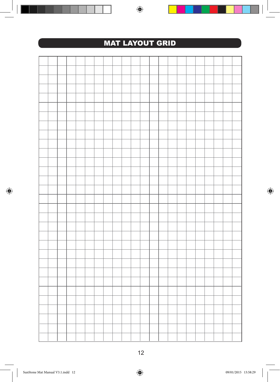

 $\bigoplus$ 

. .

 $\bigoplus$ 

$$
\bigcirc
$$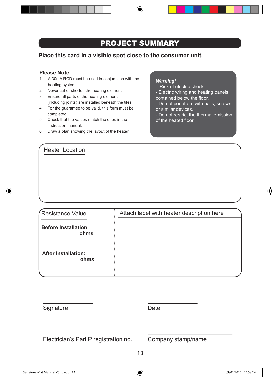### PROJECT SUMMARY

⊕

**Place this card in a visible spot close to the consumer unit.**

#### **Please Note:**

- 1. A 30mA RCD must be used in conjunction with the heating system.
- 2. Never cut or shorten the heating element
- 3. Ensure all parts of the heating element (including joints) are installed beneath the tiles.
- 4. For the guarantee to be valid, this form must be completed.
- 5. Check that the values match the ones in the instruction manual.
- 6. Draw a plan showing the layout of the heater

Heater Location

#### *Warning!*

- Risk of electric shock
- Electric wiring and heating panels
- contained below the floor.
- Do not penetrate with nails, screws, or similar devices.
- Do not restrict the thermal emission of the heated floor.

Resistance Value **Before Installation: \_\_\_\_\_\_\_\_\_\_\_\_\_ohms After Installation: \_\_\_\_\_\_\_\_\_\_\_\_\_ohms** Attach label with heater description here

| Date |
|------|
|      |

Electrician's Part P registration no. Company stamp/name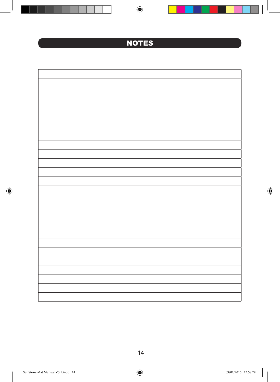**NOTES** 

 $\bigoplus$ 

 $\bigcirc$ 

14

 $\bigoplus$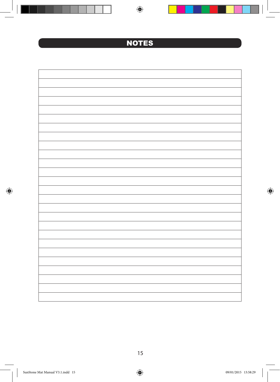**NOTES** 

 $\bigoplus$ 

 $\bigcirc$ 

15

 $\bigoplus$